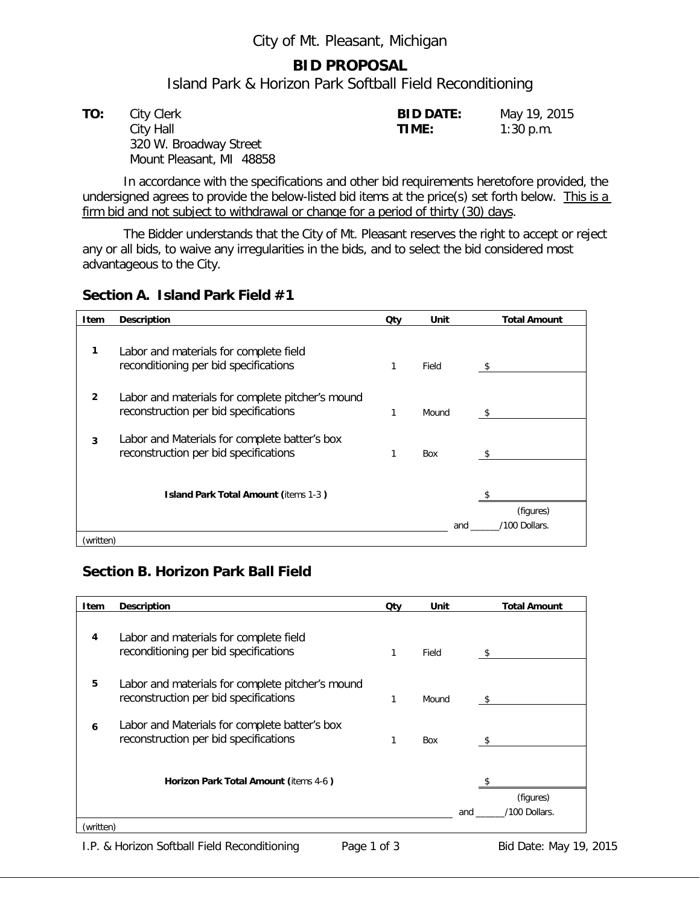#### City of Mt. Pleasant, Michigan

#### **BID PROPOSAL**

Island Park & Horizon Park Softball Field Reconditioning

| TO: | City Clerk               | <b>BID DATE:</b> | May 19, 2015 |
|-----|--------------------------|------------------|--------------|
|     | City Hall                | TIME:            | $1:30$ p.m.  |
|     | 320 W. Broadway Street   |                  |              |
|     | Mount Pleasant, MI 48858 |                  |              |

In accordance with the specifications and other bid requirements heretofore provided, the undersigned agrees to provide the below-listed bid items at the price(s) set forth below. This is a firm bid and not subject to withdrawal or change for a period of thirty (30) days.

The Bidder understands that the City of Mt. Pleasant reserves the right to accept or reject any or all bids, to waive any irregularities in the bids, and to select the bid considered most advantageous to the City.

#### **Section A. Island Park Field #1**

| Item         | <b>Description</b>                                                                        | Qty | Unit       | <b>Total Amount</b> |
|--------------|-------------------------------------------------------------------------------------------|-----|------------|---------------------|
| 1            | Labor and materials for complete field<br>reconditioning per bid specifications           |     | Field      | -S                  |
| $\mathbf{2}$ | Labor and materials for complete pitcher's mound<br>reconstruction per bid specifications |     | Mound      |                     |
| 3            | Labor and Materials for complete batter's box<br>reconstruction per bid specifications    |     | <b>Box</b> |                     |
|              | <b>Island Park Total Amount (items 1-3)</b>                                               |     |            | (figures)           |
|              |                                                                                           |     | and        | '100 Dollars.       |
| (written)    |                                                                                           |     |            |                     |

### **Section B. Horizon Park Ball Field**

| Item      | Description                                                                               | Qty | Unit  | <b>Total Amount</b>               |
|-----------|-------------------------------------------------------------------------------------------|-----|-------|-----------------------------------|
| 4         | Labor and materials for complete field<br>reconditioning per bid specifications           | 1   | Field |                                   |
| 5         | Labor and materials for complete pitcher's mound<br>reconstruction per bid specifications | 1   | Mound |                                   |
| 6         | Labor and Materials for complete batter's box<br>reconstruction per bid specifications    | 1   | Box   |                                   |
|           | Horizon Park Total Amount (items 4-6)                                                     |     |       | (figures)<br>/100 Dollars.<br>and |
| (written) |                                                                                           |     |       |                                   |

I.P. & Horizon Softball Field Reconditioning Page 1 of 3 Bid Date: May 19, 2015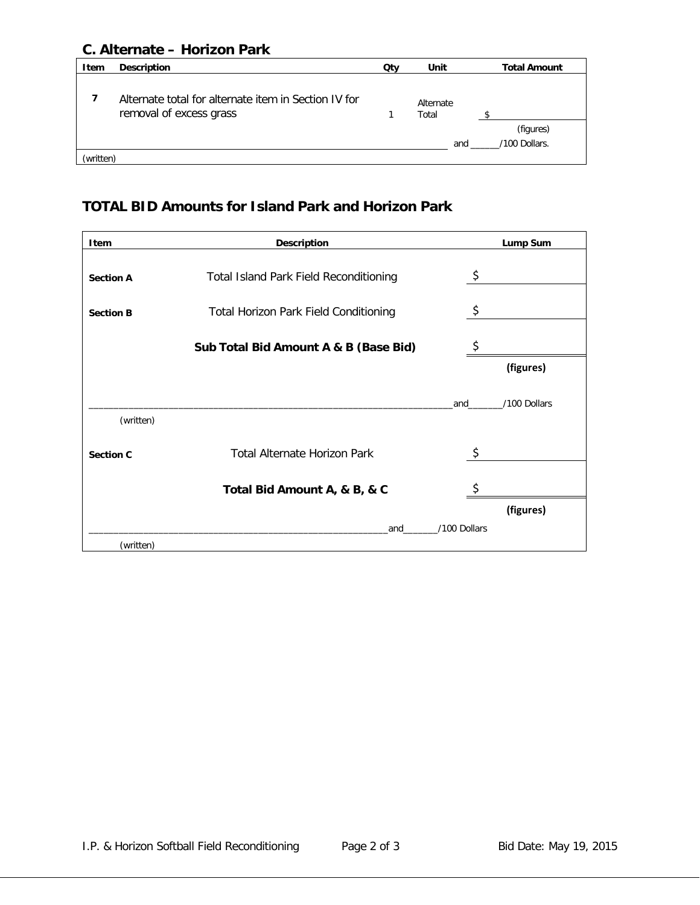## **C. Alternate – Horizon Park**

| <b>Item</b> | <b>Description</b>                                                              | Qty | Unit               | <b>Total Amount</b>        |
|-------------|---------------------------------------------------------------------------------|-----|--------------------|----------------------------|
|             | Alternate total for alternate item in Section IV for<br>removal of excess grass |     | Alternate<br>Total |                            |
|             |                                                                                 |     | and                | (figures)<br>/100 Dollars. |
| (written)   |                                                                                 |     |                    |                            |

# **TOTAL BID Amounts for Island Park and Horizon Park**

| <b>Item</b>      | <b>Description</b>                            | Lump Sum            |
|------------------|-----------------------------------------------|---------------------|
| <b>Section A</b> | <b>Total Island Park Field Reconditioning</b> | \$                  |
| <b>Section B</b> | <b>Total Horizon Park Field Conditioning</b>  | \$                  |
|                  | Sub Total Bid Amount A & B (Base Bid)         |                     |
|                  |                                               | (figures)           |
| (written)        |                                               | /100 Dollars<br>and |
| <b>Section C</b> | <b>Total Alternate Horizon Park</b>           | $\zeta$             |
|                  | Total Bid Amount A, & B, & C                  |                     |
|                  |                                               | (figures)           |
|                  | and                                           | /100 Dollars        |
| (written)        |                                               |                     |